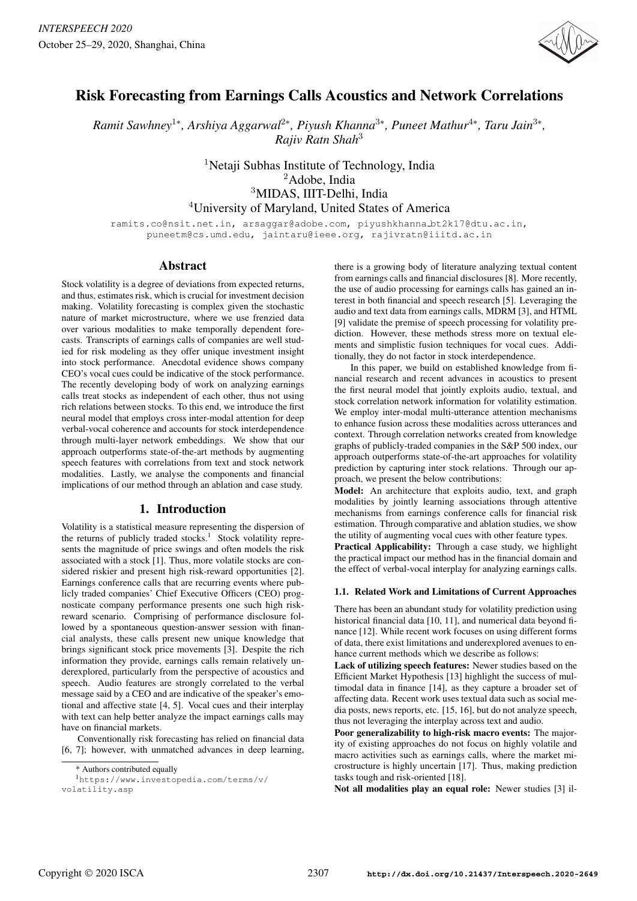

# Risk Forecasting from Earnings Calls Acoustics and Network Correlations

*Ramit Sawhney*<sup>1</sup><sup>∗</sup> *, Arshiya Aggarwal*<sup>2</sup><sup>∗</sup> *, Piyush Khanna*<sup>3</sup><sup>∗</sup> *, Puneet Mathur*<sup>4</sup><sup>∗</sup> *, Taru Jain*<sup>3</sup><sup>∗</sup> *, Rajiv Ratn Shah*<sup>3</sup>

> <sup>1</sup>Netaji Subhas Institute of Technology, India Adobe, India MIDAS, IIIT-Delhi, India University of Maryland, United States of America

ramits.co@nsit.net.in, arsaggar@adobe.com, piyushkhanna bt2k17@dtu.ac.in, puneetm@cs.umd.edu, jaintaru@ieee.org, rajivratn@iiitd.ac.in

# Abstract

Stock volatility is a degree of deviations from expected returns, and thus, estimates risk, which is crucial for investment decision making. Volatility forecasting is complex given the stochastic nature of market microstructure, where we use frenzied data over various modalities to make temporally dependent forecasts. Transcripts of earnings calls of companies are well studied for risk modeling as they offer unique investment insight into stock performance. Anecdotal evidence shows company CEO's vocal cues could be indicative of the stock performance. The recently developing body of work on analyzing earnings calls treat stocks as independent of each other, thus not using rich relations between stocks. To this end, we introduce the first neural model that employs cross inter-modal attention for deep verbal-vocal coherence and accounts for stock interdependence through multi-layer network embeddings. We show that our approach outperforms state-of-the-art methods by augmenting speech features with correlations from text and stock network modalities. Lastly, we analyse the components and financial implications of our method through an ablation and case study.

# 1. Introduction

Volatility is a statistical measure representing the dispersion of the returns of publicly traded stocks.<sup>1</sup> Stock volatility represents the magnitude of price swings and often models the risk associated with a stock [1]. Thus, more volatile stocks are considered riskier and present high risk-reward opportunities [2]. Earnings conference calls that are recurring events where publicly traded companies' Chief Executive Officers (CEO) prognosticate company performance presents one such high riskreward scenario. Comprising of performance disclosure followed by a spontaneous question-answer session with financial analysts, these calls present new unique knowledge that brings significant stock price movements [3]. Despite the rich information they provide, earnings calls remain relatively underexplored, particularly from the perspective of acoustics and speech. Audio features are strongly correlated to the verbal message said by a CEO and are indicative of the speaker's emotional and affective state [4, 5]. Vocal cues and their interplay with text can help better analyze the impact earnings calls may have on financial markets.

Conventionally risk forecasting has relied on financial data [6, 7]; however, with unmatched advances in deep learning,

there is a growing body of literature analyzing textual content from earnings calls and financial disclosures [8]. More recently, the use of audio processing for earnings calls has gained an interest in both financial and speech research [5]. Leveraging the audio and text data from earnings calls, MDRM [3], and HTML [9] validate the premise of speech processing for volatility prediction. However, these methods stress more on textual elements and simplistic fusion techniques for vocal cues. Additionally, they do not factor in stock interdependence.

In this paper, we build on established knowledge from financial research and recent advances in acoustics to present the first neural model that jointly exploits audio, textual, and stock correlation network information for volatility estimation. We employ inter-modal multi-utterance attention mechanisms to enhance fusion across these modalities across utterances and context. Through correlation networks created from knowledge graphs of publicly-traded companies in the S&P 500 index, our approach outperforms state-of-the-art approaches for volatility prediction by capturing inter stock relations. Through our approach, we present the below contributions:

Model: An architecture that exploits audio, text, and graph modalities by jointly learning associations through attentive mechanisms from earnings conference calls for financial risk estimation. Through comparative and ablation studies, we show the utility of augmenting vocal cues with other feature types.

Practical Applicability: Through a case study, we highlight the practical impact our method has in the financial domain and the effect of verbal-vocal interplay for analyzing earnings calls.

### 1.1. Related Work and Limitations of Current Approaches

There has been an abundant study for volatility prediction using historical financial data [10, 11], and numerical data beyond finance [12]. While recent work focuses on using different forms of data, there exist limitations and underexplored avenues to enhance current methods which we describe as follows:

Lack of utilizing speech features: Newer studies based on the Efficient Market Hypothesis [13] highlight the success of multimodal data in finance [14], as they capture a broader set of affecting data. Recent work uses textual data such as social media posts, news reports, etc. [15, 16], but do not analyze speech, thus not leveraging the interplay across text and audio.

Poor generalizability to high-risk macro events: The majority of existing approaches do not focus on highly volatile and macro activities such as earnings calls, where the market microstructure is highly uncertain [17]. Thus, making prediction tasks tough and risk-oriented [18].

Not all modalities play an equal role: Newer studies [3] il-

<sup>\*</sup> Authors contributed equally

<sup>1</sup>https://www.investopedia.com/terms/v/ volatility.asp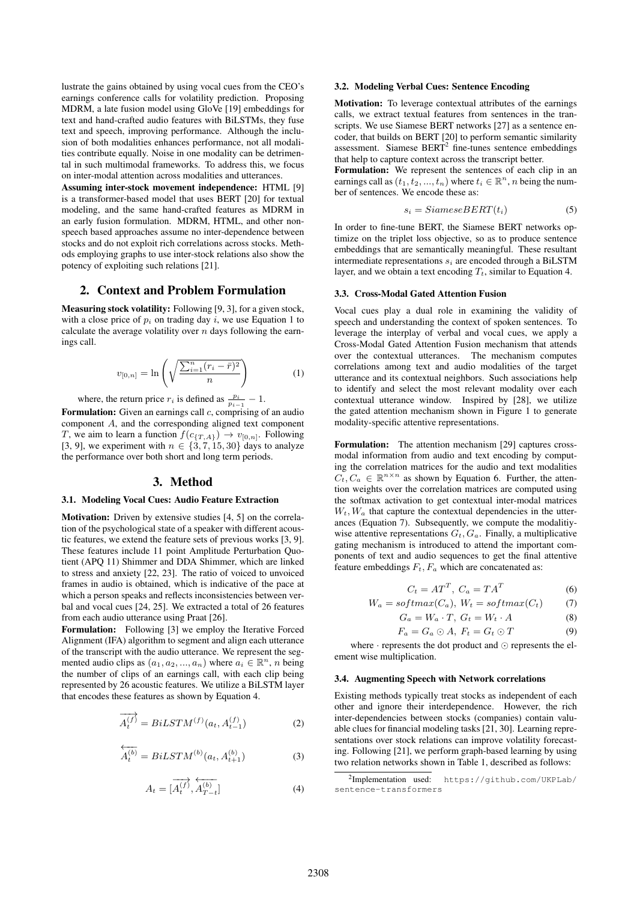lustrate the gains obtained by using vocal cues from the CEO's earnings conference calls for volatility prediction. Proposing MDRM, a late fusion model using GloVe [19] embeddings for text and hand-crafted audio features with BiLSTMs, they fuse text and speech, improving performance. Although the inclusion of both modalities enhances performance, not all modalities contribute equally. Noise in one modality can be detrimental in such multimodal frameworks. To address this, we focus on inter-modal attention across modalities and utterances.

Assuming inter-stock movement independence: HTML [9] is a transformer-based model that uses BERT [20] for textual modeling, and the same hand-crafted features as MDRM in an early fusion formulation. MDRM, HTML, and other nonspeech based approaches assume no inter-dependence between stocks and do not exploit rich correlations across stocks. Methods employing graphs to use inter-stock relations also show the potency of exploiting such relations [21].

# 2. Context and Problem Formulation

Measuring stock volatility: Following [9, 3], for a given stock, with a close price of  $p_i$  on trading day i, we use Equation 1 to calculate the average volatility over  $n$  days following the earnings call.

$$
v_{[0,n]} = \ln\left(\sqrt{\frac{\sum_{i=1}^{n} (r_i - \bar{r})^2}{n}}\right)
$$
 (1)

where, the return price  $r_i$  is defined as  $\frac{p_i}{p_{i-1}} - 1$ .

Formulation: Given an earnings call  $c$ , comprising of an audio component A, and the corresponding aligned text component T, we aim to learn a function  $f(c_{\{T,A\}}) \to v_{[0,n]}$ . Following [3, 9], we experiment with  $n \in \{3, 7, 15, 30\}$  days to analyze the performance over both short and long term periods.

### 3. Method

### 3.1. Modeling Vocal Cues: Audio Feature Extraction

Motivation: Driven by extensive studies [4, 5] on the correlation of the psychological state of a speaker with different acoustic features, we extend the feature sets of previous works [3, 9]. These features include 11 point Amplitude Perturbation Quotient (APQ 11) Shimmer and DDA Shimmer, which are linked to stress and anxiety [22, 23]. The ratio of voiced to unvoiced frames in audio is obtained, which is indicative of the pace at which a person speaks and reflects inconsistencies between verbal and vocal cues [24, 25]. We extracted a total of 26 features from each audio utterance using Praat [26].

Formulation: Following [3] we employ the Iterative Forced Alignment (IFA) algorithm to segment and align each utterance of the transcript with the audio utterance. We represent the segmented audio clips as  $(a_1, a_2, ..., a_n)$  where  $a_i \in \mathbb{R}^n$ , *n* being the number of clips of an earnings call, with each clip being represented by 26 acoustic features. We utilize a BiLSTM layer that encodes these features as shown by Equation 4.

$$
\overrightarrow{A_{t}^{(f)}} = BiLSTM^{(f)}(a_{t}, A_{t-1}^{(f)})
$$
\n(2)

$$
\overleftarrow{A_{t}^{(b)}} = BiLSTM^{(b)}(a_{t}, A_{t+1}^{(b)})
$$
\n(3)

$$
A_t = [\overrightarrow{A_t^{(f)}}, \overleftarrow{A_{T-t}^{(b)}}] \tag{4}
$$

### 3.2. Modeling Verbal Cues: Sentence Encoding

Motivation: To leverage contextual attributes of the earnings calls, we extract textual features from sentences in the transcripts. We use Siamese BERT networks [27] as a sentence encoder, that builds on BERT [20] to perform semantic similarity assessment. Siamese  $BERT<sup>2</sup>$  fine-tunes sentence embeddings that help to capture context across the transcript better.

Formulation: We represent the sentences of each clip in an earnings call as  $(t_1, t_2, ..., t_n)$  where  $t_i \in \mathbb{R}^n$ , n being the number of sentences. We encode these as:

$$
s_i = SiameseBERT(t_i) \tag{5}
$$

In order to fine-tune BERT, the Siamese BERT networks optimize on the triplet loss objective, so as to produce sentence embeddings that are semantically meaningful. These resultant intermediate representations  $s_i$  are encoded through a BiLSTM layer, and we obtain a text encoding  $T_t$ , similar to Equation 4.

#### 3.3. Cross-Modal Gated Attention Fusion

Vocal cues play a dual role in examining the validity of speech and understanding the context of spoken sentences. To leverage the interplay of verbal and vocal cues, we apply a Cross-Modal Gated Attention Fusion mechanism that attends over the contextual utterances. The mechanism computes correlations among text and audio modalities of the target utterance and its contextual neighbors. Such associations help to identify and select the most relevant modality over each contextual utterance window. Inspired by [28], we utilize the gated attention mechanism shown in Figure 1 to generate modality-specific attentive representations.

Formulation: The attention mechanism [29] captures crossmodal information from audio and text encoding by computing the correlation matrices for the audio and text modalities  $C_t, C_a \in \mathbb{R}^{n \times n}$  as shown by Equation 6. Further, the attention weights over the correlation matrices are computed using the softmax activation to get contextual inter-modal matrices  $W_t, W_a$  that capture the contextual dependencies in the utterances (Equation 7). Subsequently, we compute the modalitivwise attentive representations  $G_t$ ,  $G_a$ . Finally, a multiplicative gating mechanism is introduced to attend the important components of text and audio sequences to get the final attentive feature embeddings  $F_t$ ,  $F_a$  which are concatenated as:

$$
C_t = AT^T, C_a = TA^T \tag{6}
$$

$$
W_a = softmax(C_a), W_t = softmax(C_t)
$$
 (7)

$$
G_a = W_a \cdot T, \ G_t = W_t \cdot A \tag{8}
$$

$$
F_a = G_a \odot A, \ F_t = G_t \odot T \tag{9}
$$

where  $\cdot$  represents the dot product and  $\odot$  represents the element wise multiplication.

#### 3.4. Augmenting Speech with Network correlations

Existing methods typically treat stocks as independent of each other and ignore their interdependence. However, the rich inter-dependencies between stocks (companies) contain valuable clues for financial modeling tasks [21, 30]. Learning representations over stock relations can improve volatility forecasting. Following [21], we perform graph-based learning by using two relation networks shown in Table 1, described as follows:

<sup>2</sup> Implementation used: https://github.com/UKPLab/ sentence-transformers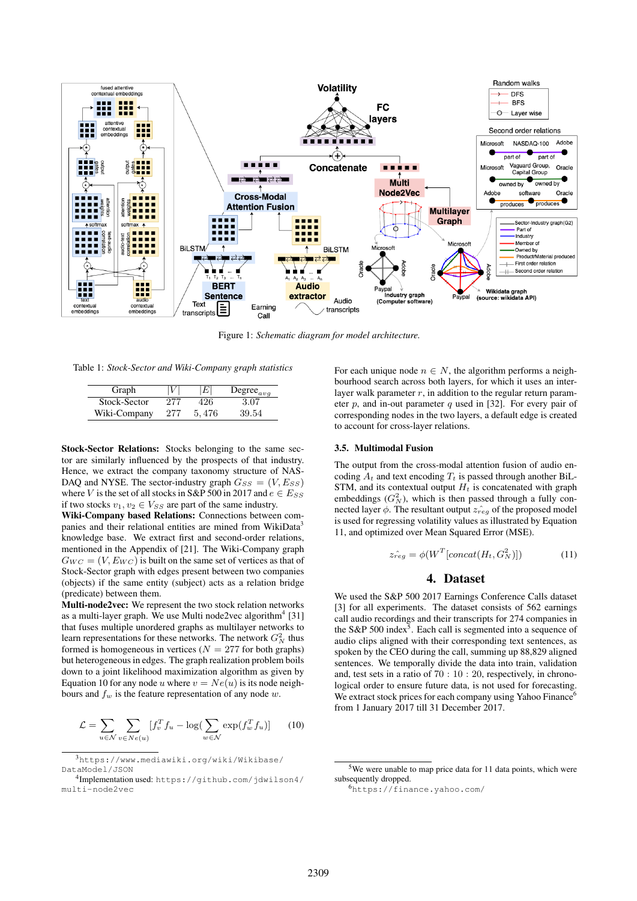

Figure 1: *Schematic diagram for model architecture.*

Table 1: *Stock-Sector and Wiki-Company graph statistics*

| Graph        |     | E     | Degree <sub>avg</sub> |
|--------------|-----|-------|-----------------------|
| Stock-Sector | 277 | 426   | 3.07                  |
| Wiki-Company | 277 | 5.476 | 39.54                 |

Stock-Sector Relations: Stocks belonging to the same sector are similarly influenced by the prospects of that industry. Hence, we extract the company taxonomy structure of NAS-DAQ and NYSE. The sector-industry graph  $G_{SS} = (V, E_{SS})$ where V is the set of all stocks in S&P 500 in 2017 and  $e \in E_{SS}$ if two stocks  $v_1, v_2 \in V_{SS}$  are part of the same industry.

Wiki-Company based Relations: Connections between companies and their relational entities are mined from WikiData<sup>3</sup> knowledge base. We extract first and second-order relations, mentioned in the Appendix of [21]. The Wiki-Company graph  $G_{WC} = (V, E_{WC})$  is built on the same set of vertices as that of Stock-Sector graph with edges present between two companies (objects) if the same entity (subject) acts as a relation bridge (predicate) between them.

Multi-node2vec: We represent the two stock relation networks as a multi-layer graph. We use Multi node2vec algorithm<sup>4</sup> [31] that fuses multiple unordered graphs as multilayer networks to learn representations for these networks. The network  $G_N^2$  thus formed is homogeneous in vertices ( $N = 277$  for both graphs) but heterogeneous in edges. The graph realization problem boils down to a joint likelihood maximization algorithm as given by Equation 10 for any node u where  $v = Ne(u)$  is its node neighbours and  $f_w$  is the feature representation of any node w.

$$
\mathcal{L} = \sum_{u \in \mathcal{N}} \sum_{v \in Ne(u)} [f_v^T f_u - \log(\sum_{w \in \mathcal{N}} \exp(f_w^T f_u)] \qquad (10)
$$

For each unique node  $n \in N$ , the algorithm performs a neighbourhood search across both layers, for which it uses an interlayer walk parameter  $r$ , in addition to the regular return parameter  $p$ , and in-out parameter  $q$  used in [32]. For every pair of corresponding nodes in the two layers, a default edge is created to account for cross-layer relations.

#### 3.5. Multimodal Fusion

The output from the cross-modal attention fusion of audio encoding  $A_t$  and text encoding  $T_t$  is passed through another BiL-STM, and its contextual output  $H_t$  is concatenated with graph embeddings  $(G_N^2)$ , which is then passed through a fully connected layer  $\phi$ . The resultant output  $\hat{z_{reg}}$  of the proposed model is used for regressing volatility values as illustrated by Equation 11, and optimized over Mean Squared Error (MSE).

$$
\hat{z_{reg}} = \phi(W^T[concat(H_t, G_N^2)]) \tag{11}
$$

# 4. Dataset

We used the S&P 500 2017 Earnings Conference Calls dataset [3] for all experiments. The dataset consists of 562 earnings call audio recordings and their transcripts for 274 companies in the S&P 500 index<sup>5</sup>. Each call is segmented into a sequence of audio clips aligned with their corresponding text sentences, as spoken by the CEO during the call, summing up 88,829 aligned sentences. We temporally divide the data into train, validation and, test sets in a ratio of 70 : 10 : 20, respectively, in chronological order to ensure future data, is not used for forecasting. We extract stock prices for each company using Yahoo Finance<sup>6</sup> from 1 January 2017 till 31 December 2017.

<sup>3</sup>https://www.mediawiki.org/wiki/Wikibase/ DataModel/JSON

<sup>4</sup> Implementation used: https://github.com/jdwilson4/ multi-node2vec

 $5$ We were unable to map price data for 11 data points, which were subsequently dropped.

<sup>6</sup>https://finance.yahoo.com/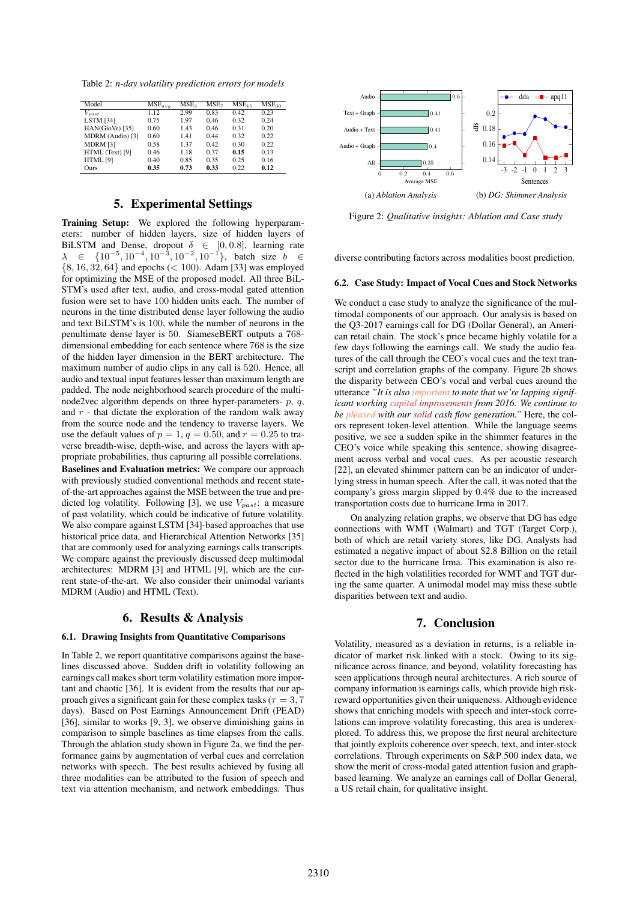Table 2: *n-day volatility prediction errors for models*

| Model            | $MSE_{ava}$ | MSE <sub>3</sub> | MSE <sub>7</sub> | MSE <sub>15</sub> | MSE <sub>30</sub> |
|------------------|-------------|------------------|------------------|-------------------|-------------------|
| $_{past}$        | 1.12        | 2.99             | 0.83             | 0.42              | 0.23              |
| <b>LSTM</b> [34] | 0.75        | 1.97             | 0.46             | 0.32              | 0.24              |
| HAN(GloVe) [35]  | 0.60        | 1.43             | 0.46             | 0.31              | 0.20              |
| MDRM (Audio) [3] | 0.60        | 1.41             | 0.44             | 0.32              | 0.22              |
| MDRM [3]         | 0.58        | 1.37             | 0.42             | 0.30              | 0.22              |
| HTML (Text) [9]  | 0.46        | 1.18             | 0.37             | 0.15              | 0.13              |
| HTML [9]         | 0.40        | 0.85             | 0.35             | 0.25              | 0.16              |
| <b>Ours</b>      | 0.35        | 0.73             | 0.33             | 0.22              | 0.12              |

# 5. Experimental Settings

Training Setup: We explored the following hyperparameters: number of hidden layers, size of hidden layers of BiLSTM and Dense, dropout  $\delta \in [0, 0.8]$ , learning rate  $\lambda$  ∈ {10<sup>-5</sup>, 10<sup>-4</sup>, 10<sup>-3</sup>, 10<sup>-2</sup>, 10<sup>-1</sup>}, batch size *b* ∈  $\{8, 16, 32, 64\}$  and epochs (< 100). Adam [33] was employed for optimizing the MSE of the proposed model. All three BiL-STM's used after text, audio, and cross-modal gated attention fusion were set to have 100 hidden units each. The number of neurons in the time distributed dense layer following the audio and text BiLSTM's is 100, while the number of neurons in the penultimate dense layer is 50. SiameseBERT outputs a 768 dimensional embedding for each sentence where 768 is the size of the hidden layer dimension in the BERT architecture. The maximum number of audio clips in any call is 520. Hence, all audio and textual input features lesser than maximum length are padded. The node neighborhood search procedure of the multinode2vec algorithm depends on three hyper-parameters-  $p$ ,  $q$ , and  $r$  - that dictate the exploration of the random walk away from the source node and the tendency to traverse layers. We use the default values of  $p = 1$ ,  $q = 0.50$ , and  $r = 0.25$  to traverse breadth-wise, depth-wise, and across the layers with appropriate probabilities, thus capturing all possible correlations. Baselines and Evaluation metrics: We compare our approach with previously studied conventional methods and recent stateof-the-art approaches against the MSE between the true and predicted log volatility. Following [3], we use  $V_{past}$ : a measure of past volatility, which could be indicative of future volatility. We also compare against LSTM [34]-based approaches that use historical price data, and Hierarchical Attention Networks [35] that are commonly used for analyzing earnings calls transcripts. We compare against the previously discussed deep multimodal architectures: MDRM [3] and HTML [9], which are the current state-of-the-art. We also consider their unimodal variants MDRM (Audio) and HTML (Text).

# 6. Results & Analysis

### 6.1. Drawing Insights from Quantitative Comparisons

In Table 2, we report quantitative comparisons against the baselines discussed above. Sudden drift in volatility following an earnings call makes short term volatility estimation more important and chaotic [36]. It is evident from the results that our approach gives a significant gain for these complex tasks ( $\tau = 3, 7$ ) days). Based on Post Earnings Announcement Drift (PEAD) [36], similar to works [9, 3], we observe diminishing gains in comparison to simple baselines as time elapses from the calls. Through the ablation study shown in Figure 2a, we find the performance gains by augmentation of verbal cues and correlation networks with speech. The best results achieved by fusing all three modalities can be attributed to the fusion of speech and text via attention mechanism, and network embeddings. Thus



Figure 2: *Qualitative insights: Ablation and Case study*

diverse contributing factors across modalities boost prediction.

#### 6.2. Case Study: Impact of Vocal Cues and Stock Networks

We conduct a case study to analyze the significance of the multimodal components of our approach. Our analysis is based on the Q3-2017 earnings call for DG (Dollar General), an American retail chain. The stock's price became highly volatile for a few days following the earnings call. We study the audio features of the call through the CEO's vocal cues and the text transcript and correlation graphs of the company. Figure 2b shows the disparity between CEO's vocal and verbal cues around the utterance *"It is also important to note that we're lapping significant working capital improvements from 2016. We continue to be pleased with our solid cash flow generation."* Here, the colors represent token-level attention. While the language seems positive, we see a sudden spike in the shimmer features in the CEO's voice while speaking this sentence, showing disagreement across verbal and vocal cues. As per acoustic research [22], an elevated shimmer pattern can be an indicator of underlying stress in human speech. After the call, it was noted that the company's gross margin slipped by 0.4% due to the increased transportation costs due to hurricane Irma in 2017.

On analyzing relation graphs, we observe that DG has edge connections with WMT (Walmart) and TGT (Target Corp.), both of which are retail variety stores, like DG. Analysts had estimated a negative impact of about \$2.8 Billion on the retail sector due to the hurricane Irma. This examination is also reflected in the high volatilities recorded for WMT and TGT during the same quarter. A unimodal model may miss these subtle disparities between text and audio.

## 7. Conclusion

Volatility, measured as a deviation in returns, is a reliable indicator of market risk linked with a stock. Owing to its significance across finance, and beyond, volatility forecasting has seen applications through neural architectures. A rich source of company information is earnings calls, which provide high riskreward opportunities given their uniqueness. Although evidence shows that enriching models with speech and inter-stock correlations can improve volatility forecasting, this area is underexplored. To address this, we propose the first neural architecture that jointly exploits coherence over speech, text, and inter-stock correlations. Through experiments on S&P 500 index data, we show the merit of cross-modal gated attention fusion and graphbased learning. We analyze an earnings call of Dollar General, a US retail chain, for qualitative insight.